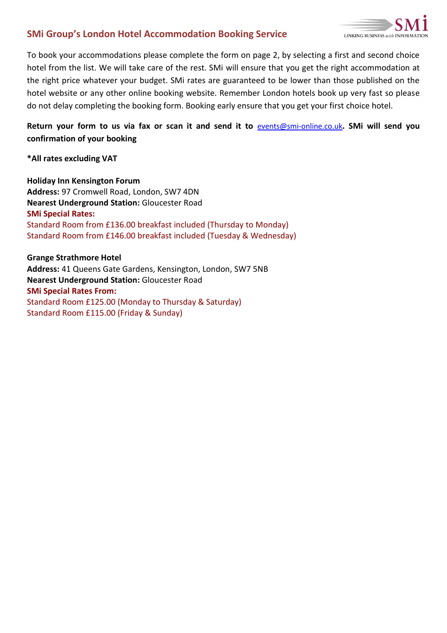## **SMi Group's London Hotel Accommodation Booking Service**



To book your accommodations please complete the form on page 2, by selecting a first and second choice hotel from the list. We will take care of the rest. SMi will ensure that you get the right accommodation at the right price whatever your budget. SMi rates are guaranteed to be lower than those published on the hotel website or any other online booking website. Remember London hotels book up very fast so please do not delay completing the booking form. Booking early ensure that you get your first choice hotel.

## **Return your form to us via fax or scan it and send it to** [events@smi-online.co.uk](mailto:events@smi-online.co.uk)**. SMi will send you confirmation of your booking**

**\*All rates excluding VAT**

**Holiday Inn Kensington Forum Address:** 97 Cromwell Road, London, SW7 4DN **Nearest Underground Station:** Gloucester Road **SMi Special Rates:**  Standard Room from £136.00 breakfast included (Thursday to Monday) Standard Room from £146.00 breakfast included (Tuesday & Wednesday)

**Grange Strathmore Hotel Address:** 41 Queens Gate Gardens, Kensington, London, SW7 5NB **Nearest Underground Station:** Gloucester Road **SMi Special Rates From:**  Standard Room £125.00 (Monday to Thursday & Saturday) Standard Room £115.00 (Friday & Sunday)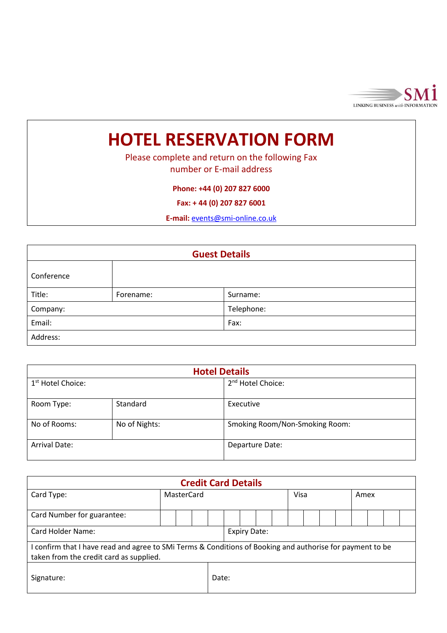

## **HOTEL RESERVATION FORM**

Please complete and return on the following Fax number or E-mail address

**Phone: +44 (0) 207 827 6000**

**Fax: + 44 (0) 207 827 6001**

**E-mail:** [events@smi-online.co.uk](mailto:events@smi-online.co.uk)

| <b>Guest Details</b> |           |            |  |  |  |  |
|----------------------|-----------|------------|--|--|--|--|
| Conference           |           |            |  |  |  |  |
| Title:               | Forename: | Surname:   |  |  |  |  |
| Company:             |           | Telephone: |  |  |  |  |
| Email:               |           | Fax:       |  |  |  |  |
| Address:             |           |            |  |  |  |  |

| <b>Hotel Details</b>          |               |                                |  |  |  |  |  |
|-------------------------------|---------------|--------------------------------|--|--|--|--|--|
| 1 <sup>st</sup> Hotel Choice: |               | 2 <sup>nd</sup> Hotel Choice:  |  |  |  |  |  |
| Room Type:                    | Standard      | Executive                      |  |  |  |  |  |
| No of Rooms:                  | No of Nights: | Smoking Room/Non-Smoking Room: |  |  |  |  |  |
| <b>Arrival Date:</b>          |               | Departure Date:                |  |  |  |  |  |

| <b>Credit Card Details</b>                                                                                                                           |            |  |       |                     |  |  |  |  |      |  |  |  |      |  |  |  |
|------------------------------------------------------------------------------------------------------------------------------------------------------|------------|--|-------|---------------------|--|--|--|--|------|--|--|--|------|--|--|--|
| Card Type:                                                                                                                                           | MasterCard |  |       |                     |  |  |  |  | Visa |  |  |  | Amex |  |  |  |
| Card Number for guarantee:                                                                                                                           |            |  |       |                     |  |  |  |  |      |  |  |  |      |  |  |  |
| Card Holder Name:                                                                                                                                    |            |  |       | <b>Expiry Date:</b> |  |  |  |  |      |  |  |  |      |  |  |  |
| I confirm that I have read and agree to SMI Terms & Conditions of Booking and authorise for payment to be<br>taken from the credit card as supplied. |            |  |       |                     |  |  |  |  |      |  |  |  |      |  |  |  |
| Signature:                                                                                                                                           |            |  | Date: |                     |  |  |  |  |      |  |  |  |      |  |  |  |